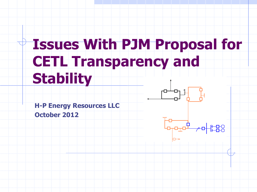# **Issues With PJM Proposal for CETL Transparency and Stability**

**H-P Energy Resources LLC** 

**October 2012** 

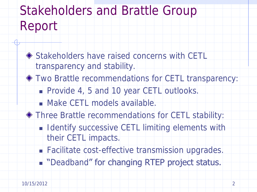### Stakeholders and Brattle Group Report

- ◆ Stakeholders have raised concerns with CETL transparency and stability.
- Two Brattle recommendations for CETL transparency:
	- Provide 4, 5 and 10 year CETL outlooks.
	- **Make CETL models available.**
- Three Brattle recommendations for CETL stability:
	- **I** Identify successive CETL limiting elements with their CETL impacts.
	- Facilitate cost-effective transmission upgrades.
	- **Deadband" for changing RTEP project status.**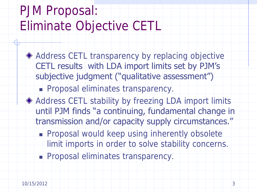## PJM Proposal: Eliminate Objective CETL

- Address CETL transparency by replacing objective CETL results with LDA import limits set by PJM's subjective judgment ("qualitative assessment")
	- Proposal eliminates transparency.
- ◆ Address CETL stability by freezing LDA import limits until PJM finds "a continuing, fundamental change in transmission and/or capacity supply circumstances."
	- **Proposal would keep using inherently obsolete** limit imports in order to solve stability concerns.
	- **Proposal eliminates transparency.**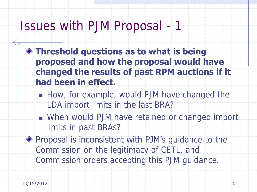- **Threshold questions as to what is being proposed and how the proposal would have changed the results of past RPM auctions if it had been in effect.**
	- How, for example, would PJM have changed the LDA import limits in the last BRA?
	- When would PJM have retained or changed import limits in past BRAs?
- **Proposal is inconsistent with PJM's** guidance to the Commission on the legitimacy of CETL, and Commission orders accepting this PJM guidance.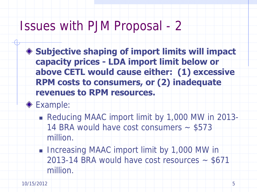- **Subjective shaping of import limits will impact capacity prices - LDA import limit below or above CETL would cause either: (1) excessive RPM costs to consumers, or (2) inadequate revenues to RPM resources.**
- **Example:** 
	- Reducing MAAC import limit by 1,000 MW in 2013-
		- 14 BRA would have cost consumers \$573 million.
	- Increasing MAAC import limit by 1,000 MW in  $2013-14$  BRA would have cost resources  $-$  \$671 million.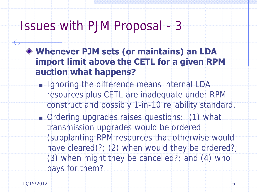- **Whenever PJM sets (or maintains) an LDA import limit above the CETL for a given RPM auction what happens?**
	- **I** Ignoring the difference means internal LDA resources plus CETL are inadequate under RPM construct and possibly 1-in-10 reliability standard.
	- Ordering upgrades raises questions: (1) what transmission upgrades would be ordered (supplanting RPM resources that otherwise would have cleared)?; (2) when would they be ordered?; (3) when might they be cancelled?; and (4) who pays for them?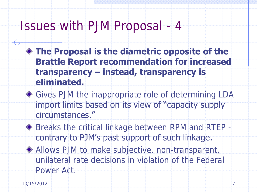- **The Proposal is the diametric opposite of the Brattle Report recommendation for increased transparency – instead, transparency is eliminated.**
- ◆ Gives PJM the inappropriate role of determining LDA import limits based on its view of "capacity supply circumstances."
- ◆ Breaks the critical linkage between RPM and RTEP contrary to PJM's past support of such linkage.
- Allows PJM to make subjective, non-transparent, unilateral rate decisions in violation of the Federal Power Act.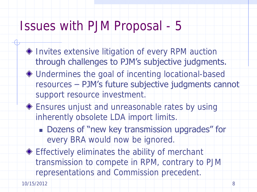- ◆ Invites extensive litigation of every RPM auction through challenges to PJM's subjective judgments.
- Undermines the goal of incenting locational-based resources – PJM's future subjective judgments cannot support resource investment.
- ◆ Ensures unjust and unreasonable rates by using inherently obsolete LDA import limits.
	- Dozens of "new key transmission upgrades" for every BRA would now be ignored.
- Effectively eliminates the ability of merchant transmission to compete in RPM, contrary to PJM representations and Commission precedent.

10/15/2012 8